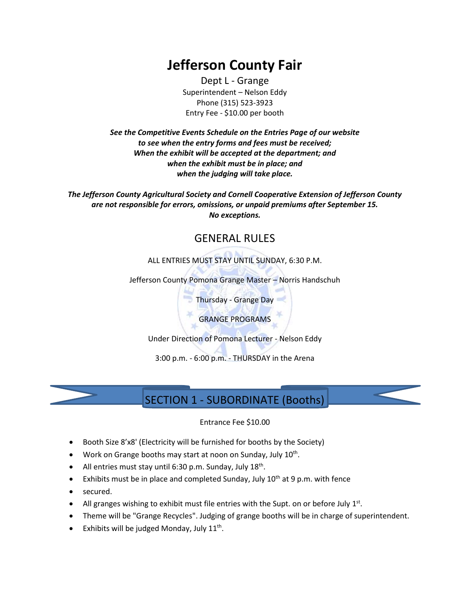# **Jefferson County Fair**

Dept L - Grange Superintendent – Nelson Eddy Phone (315) 523-3923 Entry Fee - \$10.00 per booth

*See the Competitive Events Schedule on the Entries Page of our website to see when the entry forms and fees must be received; When the exhibit will be accepted at the department; and when the exhibit must be in place; and when the judging will take place.*

*The Jefferson County Agricultural Society and Cornell Cooperative Extension of Jefferson County are not responsible for errors, omissions, or unpaid premiums after September 15. No exceptions.*

### GENERAL RULES

ALL ENTRIES MUST STAY UNTIL SUNDAY, 6:30 P.M.

Jefferson County Pomona Grange Master – Norris Handschuh

Thursday - Grange Day

GRANGE PROGRAMS

Under Direction of Pomona Lecturer - Nelson Eddy

3:00 p.m. - 6:00 p.m. - THURSDAY in the Arena



### SECTION 1 - SUBORDINATE (Booths)

#### Entrance Fee \$10.00

- Booth Size 8'x8' (Electricity will be furnished for booths by the Society)
- Work on Grange booths may start at noon on Sunday, July 10<sup>th</sup>.
- All entries must stay until 6:30 p.m. Sunday, July  $18<sup>th</sup>$ .
- Exhibits must be in place and completed Sunday, July  $10^{th}$  at 9 p.m. with fence
- secured.
- All granges wishing to exhibit must file entries with the Supt. on or before July  $1<sup>st</sup>$ .
- Theme will be "Grange Recycles". Judging of grange booths will be in charge of superintendent.
- Exhibits will be judged Monday, July 11<sup>th</sup>.